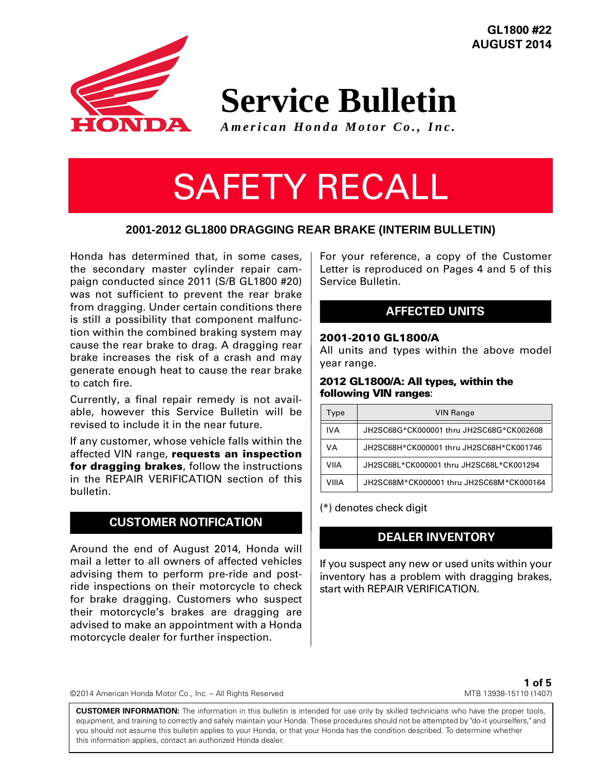**GL1800 #22 AUGUST 2014**



**Service Bulletin**

*American Honda Motor Co., Inc.*

# SAFETY RECALL

### **2001-2012 GL1800 DRAGGING REAR BRAKE (INTERIM BULLETIN)**

Honda has determined that, in some cases, the secondary master cylinder repair campaign conducted since 2011 (S/B GL1800 #20) was not sufficient to prevent the rear brake from dragging. Under certain conditions there is still a possibility that component malfunction within the combined braking system may cause the rear brake to drag. A dragging rear brake increases the risk of a crash and may generate enough heat to cause the rear brake to catch fire.

Currently, a final repair remedy is not available, however this Service Bulletin will be revised to include it in the near future.

If any customer, whose vehicle falls within the affected VIN range, **requests an inspection for dragging brakes**, follow the instructions in the REPAIR VERIFICATION section of this bulletin.

### **CUSTOMER NOTIFICATION**

Around the end of August 2014, Honda will mail a letter to all owners of affected vehicles advising them to perform pre-ride and postride inspections on their motorcycle to check for brake dragging. Customers who suspect their motorcycle's brakes are dragging are advised to make an appointment with a Honda motorcycle dealer for further inspection.

For your reference, a copy of the Customer Letter is reproduced on Pages 4 and 5 of this Service Bulletin.

## **AFFECTED UNITS**

#### **2001-2010 GL1800/A**

All units and types within the above model year range.

#### **2012 GL1800/A: All types, within the following VIN ranges**:

| Type       | <b>VIN Range</b>                         |
|------------|------------------------------------------|
| <b>IVA</b> | JH2SC68G*CK000001 thru JH2SC68G*CK002608 |
| VA         | JH2SC68H*CK000001 thru JH2SC68H*CK001746 |
| VIIA       | JH2SC68L*CK000001 thru JH2SC68L*CK001294 |
| VIIIA      | JH2SC68M*CK000001 thru JH2SC68M*CK000164 |

(\*) denotes check digit

## **DEALER INVENTORY**

If you suspect any new or used units within your inventory has a problem with dragging brakes, start with REPAIR VERIFICATION.

©2014 American Honda Motor Co., Inc. – All Rights Reserved

**1 of 5** MTB 13938-15110 (1407)

**CUSTOMER INFORMATION:** The information in this bulletin is intended for use only by skilled technicians who have the proper tools, equipment, and training to correctly and safely maintain your Honda. These procedures should not be attempted by "do-it yourselfers," and you should not assume this bulletin applies to your Honda, or that your Honda has the condition described. To determine whether this information applies, contact an authorized Honda dealer.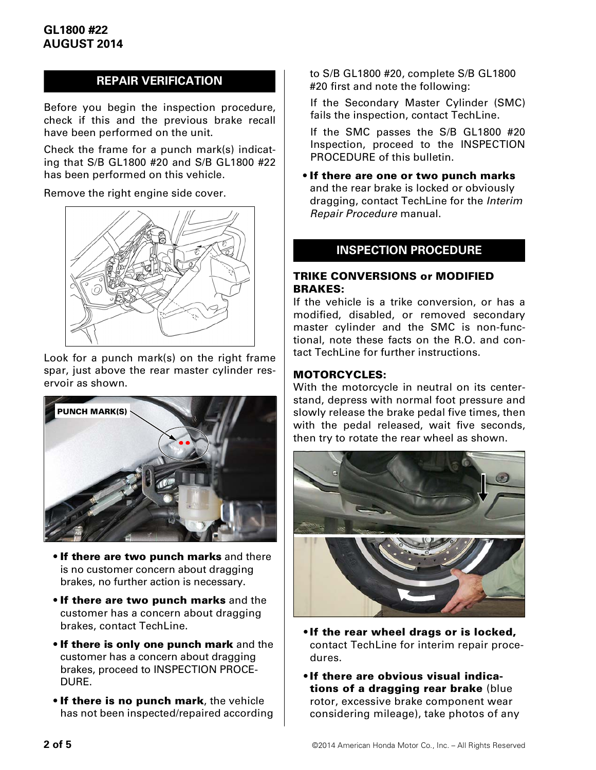## **REPAIR VERIFICATION**

Before you begin the inspection procedure, check if this and the previous brake recall have been performed on the unit.

Check the frame for a punch mark(s) indicating that S/B GL1800 #20 and S/B GL1800 #22 has been performed on this vehicle.

Remove the right engine side cover.



Look for a punch mark(s) on the right frame spar, just above the rear master cylinder reservoir as shown.



- **If there are two punch marks** and there is no customer concern about dragging brakes, no further action is necessary.
- **If there are two punch marks** and the customer has a concern about dragging brakes, contact TechLine.
- **If there is only one punch mark** and the customer has a concern about dragging brakes, proceed to INSPECTION PROCE-DURE.
- **If there is no punch mark**, the vehicle has not been inspected/repaired according

to S/B GL1800 #20, complete S/B GL1800 #20 first and note the following:

If the Secondary Master Cylinder (SMC) fails the inspection, contact TechLine.

If the SMC passes the S/B GL1800 #20 Inspection, proceed to the INSPECTION PROCEDURE of this bulletin.

• **If there are one or two punch marks** and the rear brake is locked or obviously dragging, contact TechLine for the *Interim Repair Procedure* manual.

#### **INSPECTION PROCEDURE**

#### **TRIKE CONVERSIONS or MODIFIED BRAKES:**

If the vehicle is a trike conversion, or has a modified, disabled, or removed secondary master cylinder and the SMC is non-functional, note these facts on the R.O. and contact TechLine for further instructions.

#### **MOTORCYCLES:**

With the motorcycle in neutral on its centerstand, depress with normal foot pressure and slowly release the brake pedal five times, then with the pedal released, wait five seconds, then try to rotate the rear wheel as shown.



- **•If the rear wheel drags or is locked,** contact TechLine for interim repair procedures.
- **•If there are obvious visual indications of a dragging rear brake** (blue rotor, excessive brake component wear considering mileage), take photos of any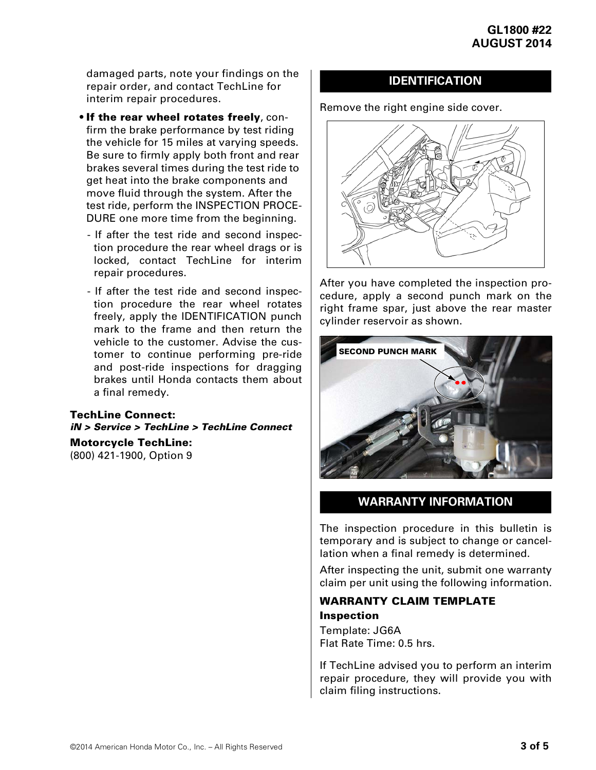damaged parts, note your findings on the repair order, and contact TechLine for interim repair procedures.

- **If the rear wheel rotates freely**, confirm the brake performance by test riding the vehicle for 15 miles at varying speeds. Be sure to firmly apply both front and rear brakes several times during the test ride to get heat into the brake components and move fluid through the system. After the test ride, perform the INSPECTION PROCE-DURE one more time from the beginning.
	- If after the test ride and second inspection procedure the rear wheel drags or is locked, contact TechLine for interim repair procedures.
	- If after the test ride and second inspection procedure the rear wheel rotates freely, apply the IDENTIFICATION punch mark to the frame and then return the vehicle to the customer. Advise the customer to continue performing pre-ride and post-ride inspections for dragging brakes until Honda contacts them about a final remedy.

#### **TechLine Connect:** *iN > Service > TechLine > TechLine Connect* **Motorcycle TechLine:**

(800) 421-1900, Option 9

## **IDENTIFICATION**

Remove the right engine side cover.



After you have completed the inspection procedure, apply a second punch mark on the right frame spar, just above the rear master cylinder reservoir as shown.



## **WARRANTY INFORMATION**

The inspection procedure in this bulletin is temporary and is subject to change or cancellation when a final remedy is determined.

After inspecting the unit, submit one warranty claim per unit using the following information.

## **WARRANTY CLAIM TEMPLATE**

**Inspection** Template: JG6A Flat Rate Time: 0.5 hrs.

If TechLine advised you to perform an interim repair procedure, they will provide you with claim filing instructions.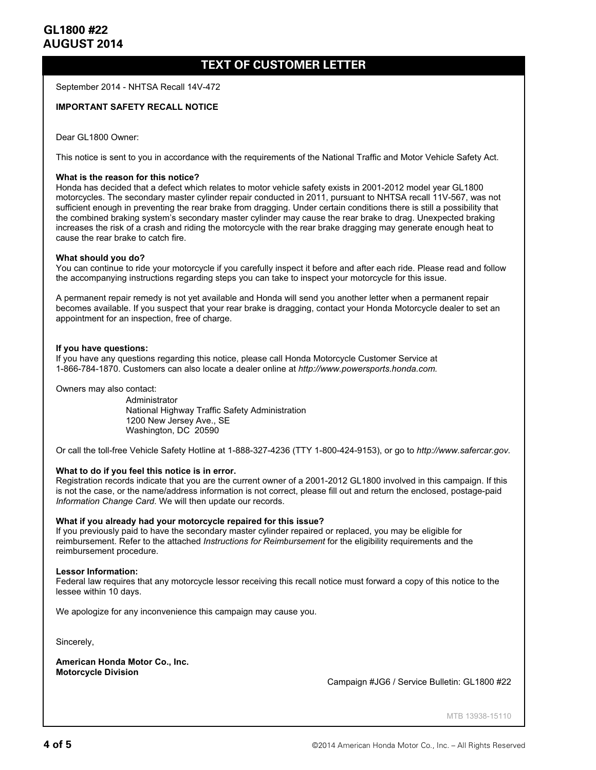## **TEXT OF CUSTOMER LETTER**

September 2014 - NHTSA Recall 14V-472

#### **IMPORTANT SAFETY RECALL NOTICE**

Dear GL1800 Owner:

This notice is sent to you in accordance with the requirements of the National Traffic and Motor Vehicle Safety Act.

#### **What is the reason for this notice?**

Honda has decided that a defect which relates to motor vehicle safety exists in 2001-2012 model year GL1800 motorcycles. The secondary master cylinder repair conducted in 2011, pursuant to NHTSA recall 11V-567, was not sufficient enough in preventing the rear brake from dragging. Under certain conditions there is still a possibility that the combined braking system's secondary master cylinder may cause the rear brake to drag. Unexpected braking increases the risk of a crash and riding the motorcycle with the rear brake dragging may generate enough heat to cause the rear brake to catch fire.

#### **What should you do?**

You can continue to ride your motorcycle if you carefully inspect it before and after each ride. Please read and follow the accompanying instructions regarding steps you can take to inspect your motorcycle for this issue.

A permanent repair remedy is not yet available and Honda will send you another letter when a permanent repair becomes available. If you suspect that your rear brake is dragging, contact your Honda Motorcycle dealer to set an appointment for an inspection, free of charge.

#### **If you have questions:**

If you have any questions regarding this notice, please call Honda Motorcycle Customer Service at 1-866-784-1870. Customers can also locate a dealer online at *http://www.powersports.honda.com.*

Owners may also contact:

Administrator National Highway Traffic Safety Administration 1200 New Jersey Ave., SE Washington, DC 20590

Or call the toll-free Vehicle Safety Hotline at 1-888-327-4236 (TTY 1-800-424-9153), or go to *http://www.safercar.gov.* 

#### **What to do if you feel this notice is in error.**

Registration records indicate that you are the current owner of a 2001-2012 GL1800 involved in this campaign. If this is not the case, or the name/address information is not correct, please fill out and return the enclosed, postage-paid *Information Change Card*. We will then update our records.

#### **What if you already had your motorcycle repaired for this issue?**

If you previously paid to have the secondary master cylinder repaired or replaced, you may be eligible for reimbursement. Refer to the attached *Instructions for Reimbursement* for the eligibility requirements and the reimbursement procedure.

#### **Lessor Information:**

Federal law requires that any motorcycle lessor receiving this recall notice must forward a copy of this notice to the lessee within 10 days.

We apologize for any inconvenience this campaign may cause you.

Sincerely,

**American Honda Motor Co., Inc. Motorcycle Division** 

Campaign #JG6 / Service Bulletin: GL1800 #22

MTB 13938-15110